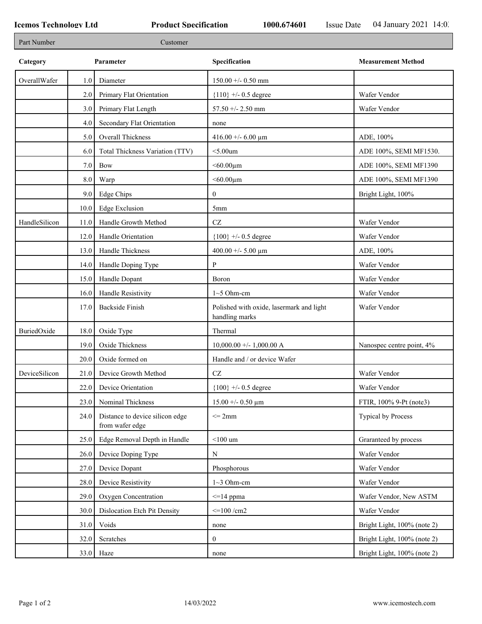| Part Number   |         | Customer                                           |                                                            |                             |
|---------------|---------|----------------------------------------------------|------------------------------------------------------------|-----------------------------|
| Category      |         | Parameter                                          | Specification                                              | <b>Measurement Method</b>   |
| OverallWafer  | $1.0\,$ | Diameter                                           | $150.00 + - 0.50$ mm                                       |                             |
|               | 2.0     | Primary Flat Orientation                           | ${110}$ +/- 0.5 degree                                     | Wafer Vendor                |
|               | 3.0     | Primary Flat Length                                | 57.50 +/- 2.50 mm                                          | Wafer Vendor                |
|               | 4.0     | Secondary Flat Orientation                         | none                                                       |                             |
|               | 5.0     | <b>Overall Thickness</b>                           | 416.00 +/- 6.00 $\mu$ m                                    | ADE, 100%                   |
|               | 6.0     | Total Thickness Variation (TTV)                    | $<$ 5.00 $um$                                              | ADE 100%, SEMI MF1530.      |
|               | 7.0     | <b>Bow</b>                                         | $<$ 60.00 $\mu$ m                                          | ADE 100%, SEMI MF1390       |
|               | 8.0     | Warp                                               | $<$ 60.00 $\mu$ m                                          | ADE 100%, SEMI MF1390       |
|               | 9.0     | Edge Chips                                         | $\boldsymbol{0}$                                           | Bright Light, 100%          |
|               | 10.0    | <b>Edge Exclusion</b>                              | 5mm                                                        |                             |
| HandleSilicon | 11.0    | Handle Growth Method                               | $\operatorname{CZ}$                                        | Wafer Vendor                |
|               | 12.0    | Handle Orientation                                 | ${100}$ +/- 0.5 degree                                     | Wafer Vendor                |
|               | 13.0    | Handle Thickness                                   | 400.00 +/- 5.00 $\mu$ m                                    | ADE, 100%                   |
|               | 14.0    | Handle Doping Type                                 | P                                                          | Wafer Vendor                |
|               | 15.0    | Handle Dopant                                      | Boron                                                      | Wafer Vendor                |
|               | 16.0    | Handle Resistivity                                 | $1~5$ Ohm-cm                                               | Wafer Vendor                |
|               | 17.0    | <b>Backside Finish</b>                             | Polished with oxide, lasermark and light<br>handling marks | Wafer Vendor                |
| BuriedOxide   | 18.0    | Oxide Type                                         | Thermal                                                    |                             |
|               | 19.0    | Oxide Thickness                                    | $10,000.00 +/- 1,000.00 A$                                 | Nanospec centre point, 4%   |
|               | 20.0    | Oxide formed on                                    | Handle and / or device Wafer                               |                             |
| DeviceSilicon | 21.0    | Device Growth Method                               | $\operatorname{CZ}$                                        | Wafer Vendor                |
|               | 22.0    | Device Orientation                                 | ${100}$ +/- 0.5 degree                                     | Wafer Vendor                |
|               | 23.0    | Nominal Thickness                                  | $15.00 + - 0.50 \mu m$                                     | FTIR, 100% 9-Pt (note3)     |
|               | 24.0    | Distance to device silicon edge<br>from wafer edge | $\leq$ 2mm                                                 | Typical by Process          |
|               | 25.0    | Edge Removal Depth in Handle                       | $<$ 100 um                                                 | Graranteed by process       |
|               | 26.0    | Device Doping Type                                 | ${\bf N}$                                                  | Wafer Vendor                |
|               | 27.0    | Device Dopant                                      | Phosphorous                                                | Wafer Vendor                |
|               | 28.0    | Device Resistivity                                 | $1~3$ Ohm-cm                                               | Wafer Vendor                |
|               | 29.0    | Oxygen Concentration                               | $\leq$ 14 ppma                                             | Wafer Vendor, New ASTM      |
|               | 30.0    | Dislocation Etch Pit Density                       | $\leq$ 100 /cm2                                            | Wafer Vendor                |
|               | 31.0    | Voids                                              | none                                                       | Bright Light, 100% (note 2) |
|               | 32.0    | Scratches                                          | $\boldsymbol{0}$                                           | Bright Light, 100% (note 2) |
|               |         | $33.0$ Haze                                        | none                                                       | Bright Light, 100% (note 2) |
|               |         |                                                    |                                                            |                             |